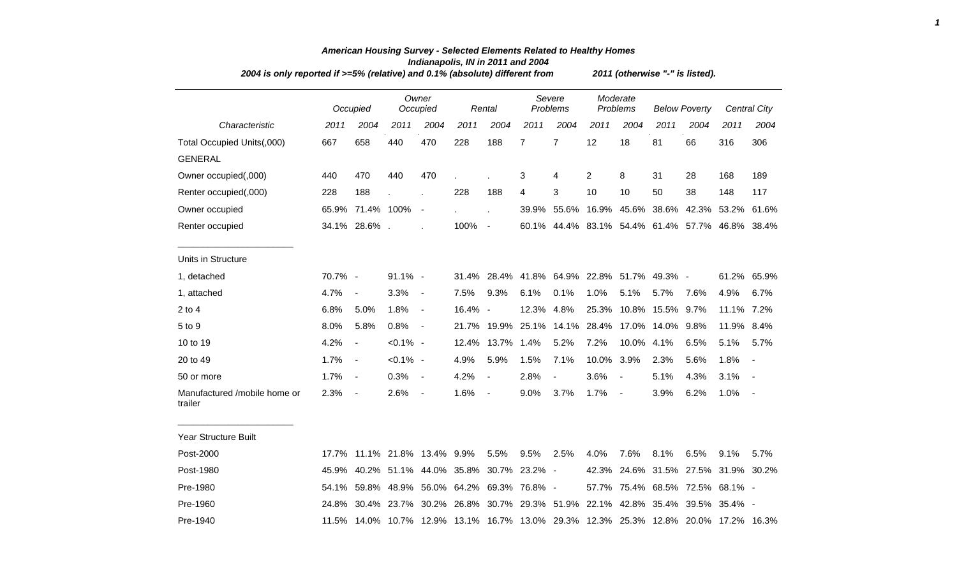| 2004 is only reported if >=5% (relative) and 0.1% (absolute) different from |         |                                             |             |                          |                           |                          |                |                                                                                     | 2011 (otherwise "-" is listed). |                |                      |                                     |            |                          |
|-----------------------------------------------------------------------------|---------|---------------------------------------------|-------------|--------------------------|---------------------------|--------------------------|----------------|-------------------------------------------------------------------------------------|---------------------------------|----------------|----------------------|-------------------------------------|------------|--------------------------|
|                                                                             |         | Occupied                                    |             | Owner<br>Occupied        |                           | Rental                   |                | Severe<br>Problems                                                                  | Moderate<br>Problems            |                | <b>Below Poverty</b> |                                     |            | <b>Central City</b>      |
| Characteristic                                                              | 2011    | 2004                                        | 2011        | 2004                     | 2011                      | 2004                     | 2011           | 2004                                                                                | 2011                            | 2004           | 2011                 | 2004                                | 2011       | 2004                     |
| Total Occupied Units(,000)                                                  | 667     | 658                                         | 440         | 470                      | 228                       | 188                      | $\overline{7}$ | $\overline{7}$                                                                      | 12                              | 18             | 81                   | 66                                  | 316        | 306                      |
| <b>GENERAL</b>                                                              |         |                                             |             |                          |                           |                          |                |                                                                                     |                                 |                |                      |                                     |            |                          |
| Owner occupied(,000)                                                        | 440     | 470                                         | 440         | 470                      |                           |                          | 3              | 4                                                                                   | 2                               | 8              | 31                   | 28                                  | 168        | 189                      |
| Renter occupied(,000)                                                       | 228     | 188                                         |             |                          | 228                       | 188                      | 4              | 3                                                                                   | 10                              | 10             | 50                   | 38                                  | 148        | 117                      |
| Owner occupied                                                              | 65.9%   | 71.4% 100%                                  |             | $\blacksquare$           |                           | ä,                       | 39.9%          |                                                                                     |                                 |                |                      | 55.6% 16.9% 45.6% 38.6% 42.3% 53.2% |            | 61.6%                    |
| Renter occupied                                                             |         | 34.1% 28.6%.                                |             |                          | 100%                      | $\overline{\phantom{a}}$ |                | 60.1% 44.4% 83.1% 54.4% 61.4% 57.7% 46.8% 38.4%                                     |                                 |                |                      |                                     |            |                          |
| Units in Structure                                                          |         |                                             |             |                          |                           |                          |                |                                                                                     |                                 |                |                      |                                     |            |                          |
| 1, detached                                                                 | 70.7% - |                                             | 91.1% -     |                          |                           |                          |                | 31.4% 28.4% 41.8% 64.9% 22.8% 51.7% 49.3% -                                         |                                 |                |                      |                                     |            | 61.2% 65.9%              |
| 1, attached                                                                 | 4.7%    | $\blacksquare$                              | 3.3%        | $\blacksquare$           | 7.5%                      | 9.3%                     | 6.1%           | 0.1%                                                                                | 1.0%                            | 5.1%           | 5.7%                 | 7.6%                                | 4.9%       | 6.7%                     |
| $2$ to $4$                                                                  | 6.8%    | 5.0%                                        | 1.8%        | $\blacksquare$           | 16.4% -                   |                          | 12.3%          | 4.8%                                                                                | 25.3%                           |                | 10.8% 15.5%          | 9.7%                                | 11.1% 7.2% |                          |
| 5 to 9                                                                      | 8.0%    | 5.8%                                        | 0.8%        | $\blacksquare$           | 21.7%                     | 19.9%                    | 25.1%          |                                                                                     | 14.1% 28.4% 17.0% 14.0%         |                |                      | 9.8%                                | 11.9%      | 8.4%                     |
| 10 to 19                                                                    | 4.2%    | $\overline{\phantom{a}}$                    | $< 0.1\%$ - |                          | 12.4%                     | 13.7%                    | 1.4%           | 5.2%                                                                                | 7.2%                            | 10.0% 4.1%     |                      | 6.5%                                | 5.1%       | 5.7%                     |
| 20 to 49                                                                    | 1.7%    | $\overline{\phantom{a}}$                    | $< 0.1\%$ - |                          | 4.9%                      | 5.9%                     | 1.5%           | 7.1%                                                                                | 10.0% 3.9%                      |                | 2.3%                 | 5.6%                                | 1.8%       | $\overline{\phantom{a}}$ |
| 50 or more                                                                  | 1.7%    | $\blacksquare$                              | 0.3%        | $\blacksquare$           | 4.2%                      | $\blacksquare$           | 2.8%           | $\blacksquare$                                                                      | 3.6%                            | $\blacksquare$ | 5.1%                 | 4.3%                                | 3.1%       | $\blacksquare$           |
| Manufactured /mobile home or<br>trailer                                     | 2.3%    | $\overline{\phantom{a}}$                    | 2.6%        | $\overline{\phantom{a}}$ | 1.6%                      | $\overline{\phantom{a}}$ | 9.0%           | 3.7%                                                                                | 1.7%                            | $\blacksquare$ | 3.9%                 | 6.2%                                | 1.0%       | $\overline{\phantom{a}}$ |
| <b>Year Structure Built</b>                                                 |         |                                             |             |                          |                           |                          |                |                                                                                     |                                 |                |                      |                                     |            |                          |
| Post-2000                                                                   |         | 17.7% 11.1% 21.8% 13.4% 9.9%                |             |                          |                           | 5.5%                     | 9.5%           | 2.5%                                                                                | 4.0%                            | 7.6%           | 8.1%                 | 6.5%                                | 9.1%       | 5.7%                     |
| Post-1980                                                                   | 45.9%   |                                             | 40.2% 51.1% |                          | 44.0% 35.8% 30.7% 23.2% - |                          |                |                                                                                     |                                 |                |                      | 42.3% 24.6% 31.5% 27.5% 31.9% 30.2% |            |                          |
| Pre-1980                                                                    |         | 54.1% 59.8% 48.9% 56.0% 64.2% 69.3% 76.8% - |             |                          |                           |                          |                |                                                                                     |                                 |                |                      | 57.7% 75.4% 68.5% 72.5% 68.1% -     |            |                          |
| Pre-1960                                                                    | 24.8%   |                                             | 30.4% 23.7% |                          |                           |                          |                | 30.2% 26.8% 30.7% 29.3% 51.9% 22.1% 42.8% 35.4% 39.5% 35.4% -                       |                                 |                |                      |                                     |            |                          |
| Pre-1940                                                                    |         |                                             |             |                          |                           |                          |                | 11.5% 14.0% 10.7% 12.9% 13.1% 16.7% 13.0% 29.3% 12.3% 25.3% 12.8% 20.0% 17.2% 16.3% |                                 |                |                      |                                     |            |                          |

## *American Housing Survey - Selected Elements Related to Healthy Homes Indianapolis, IN in 2011 and 2004*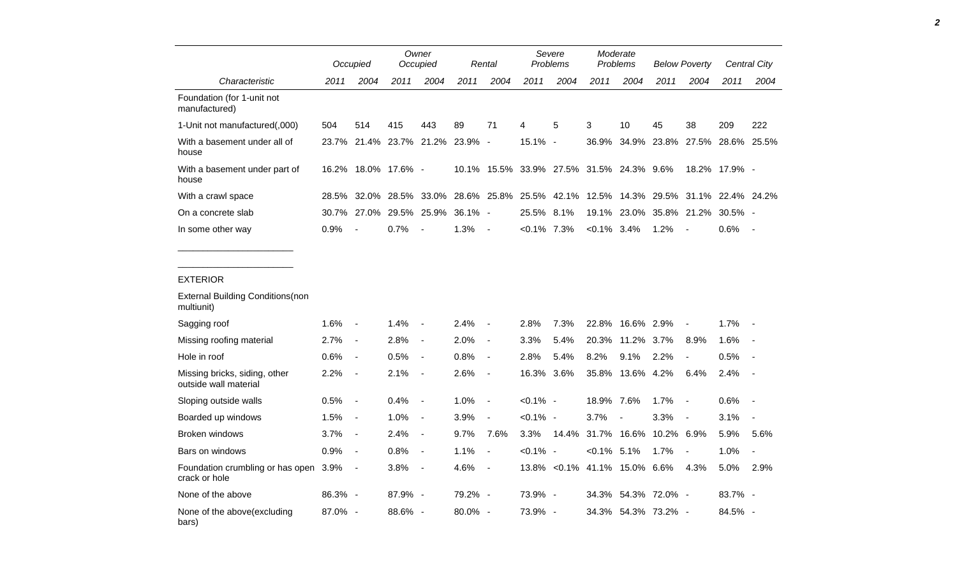|                                                        |            | Occupied                 |                           | Owner<br>Occupied        |            | Rental                   |                | Severe<br>Problems                 |                | Moderate<br>Problems |       | <b>Below Poverty</b>     |               | <b>Central City</b>      |
|--------------------------------------------------------|------------|--------------------------|---------------------------|--------------------------|------------|--------------------------|----------------|------------------------------------|----------------|----------------------|-------|--------------------------|---------------|--------------------------|
| Characteristic                                         | 2011       | 2004                     | 2011                      | 2004                     | 2011       | 2004                     | 2011           | 2004                               | 2011           | 2004                 | 2011  | 2004                     | 2011          | 2004                     |
| Foundation (for 1-unit not<br>manufactured)            |            |                          |                           |                          |            |                          |                |                                    |                |                      |       |                          |               |                          |
| 1-Unit not manufactured(,000)                          | 504        | 514                      | 415                       | 443                      | 89         | 71                       | 4              | 5                                  | 3              | 10                   | 45    | 38                       | 209           | 222                      |
| With a basement under all of<br>house                  | 23.7%      |                          | 21.4% 23.7% 21.2% 23.9% - |                          |            |                          | 15.1% -        |                                    | 36.9%          | 34.9%                | 23.8% | 27.5%                    | 28.6%         | 25.5%                    |
| With a basement under part of<br>house                 |            |                          | 16.2% 18.0% 17.6% -       |                          | 10.1%      |                          |                | 15.5% 33.9% 27.5% 31.5% 24.3% 9.6% |                |                      |       |                          | 18.2% 17.9% - |                          |
| With a crawl space                                     | 28.5%      | 32.0%                    | 28.5%                     | 33.0%                    |            | 28.6% 25.8%              | 25.5%          | 42.1%                              | 12.5%          | 14.3%                | 29.5% | 31.1%                    | 22.4% 24.2%   |                          |
| On a concrete slab                                     | 30.7%      | 27.0%                    | 29.5%                     | 25.9%                    | $36.1\% -$ |                          | 25.5%          | 8.1%                               |                | 19.1% 23.0%          | 35.8% | 21.2%                    | $30.5\%$ -    |                          |
| In some other way                                      | 0.9%       |                          | 0.7%                      |                          | 1.3%       | $\blacksquare$           | $< 0.1\%$ 7.3% |                                    | $< 0.1\%$ 3.4% |                      | 1.2%  | $\overline{\phantom{a}}$ | 0.6%          | $\overline{a}$           |
|                                                        |            |                          |                           |                          |            |                          |                |                                    |                |                      |       |                          |               |                          |
|                                                        |            |                          |                           |                          |            |                          |                |                                    |                |                      |       |                          |               |                          |
| <b>EXTERIOR</b>                                        |            |                          |                           |                          |            |                          |                |                                    |                |                      |       |                          |               |                          |
| <b>External Building Conditions (non</b><br>multiunit) |            |                          |                           |                          |            |                          |                |                                    |                |                      |       |                          |               |                          |
| Sagging roof                                           | 1.6%       | $\overline{a}$           | 1.4%                      |                          | 2.4%       |                          | 2.8%           | 7.3%                               | 22.8%          | 16.6% 2.9%           |       |                          | 1.7%          |                          |
| Missing roofing material                               | 2.7%       | $\overline{\phantom{a}}$ | 2.8%                      | $\overline{\phantom{a}}$ | 2.0%       | $\overline{\phantom{a}}$ | 3.3%           | 5.4%                               | 20.3%          | 11.2%                | 3.7%  | 8.9%                     | 1.6%          |                          |
| Hole in roof                                           | 0.6%       | $\overline{\phantom{a}}$ | 0.5%                      | $\overline{\phantom{a}}$ | 0.8%       | $\overline{\phantom{a}}$ | 2.8%           | 5.4%                               | 8.2%           | 9.1%                 | 2.2%  | $\overline{\phantom{a}}$ | 0.5%          |                          |
| Missing bricks, siding, other<br>outside wall material | 2.2%       | $\blacksquare$           | 2.1%                      | $\blacksquare$           | 2.6%       | $\blacksquare$           | 16.3% 3.6%     |                                    | 35.8%          | 13.6% 4.2%           |       | 6.4%                     | 2.4%          | <b>.</b>                 |
| Sloping outside walls                                  | 0.5%       | $\overline{\phantom{a}}$ | 0.4%                      | $\overline{\phantom{a}}$ | 1.0%       | $\blacksquare$           | $< 0.1\%$ -    |                                    | 18.9% 7.6%     |                      | 1.7%  | $\overline{\phantom{a}}$ | 0.6%          |                          |
| Boarded up windows                                     | 1.5%       | $\overline{\phantom{a}}$ | 1.0%                      | $\overline{\phantom{a}}$ | 3.9%       |                          | $< 0.1\%$ -    |                                    | 3.7%           | $\sim$               | 3.3%  | $\overline{\phantom{a}}$ | 3.1%          | $\overline{\phantom{a}}$ |
| Broken windows                                         | 3.7%       | $\blacksquare$           | 2.4%                      | $\blacksquare$           | 9.7%       | 7.6%                     | 3.3%           | 14.4%                              |                | 31.7% 16.6%          | 10.2% | 6.9%                     | 5.9%          | 5.6%                     |
| Bars on windows                                        | 0.9%       | $\overline{\phantom{a}}$ | 0.8%                      | $\overline{\phantom{a}}$ | 1.1%       | $\overline{\phantom{a}}$ | $< 0.1\%$ -    |                                    | $< 0.1\%$ 5.1% |                      | 1.7%  | $\blacksquare$           | 1.0%          | $\blacksquare$           |
| Foundation crumbling or has open 3.9%<br>crack or hole |            | $\overline{\phantom{a}}$ | 3.8%                      | $\overline{\phantom{a}}$ | 4.6%       | $\blacksquare$           |                | 13.8% < 0.1% 41.1% 15.0% 6.6%      |                |                      |       | 4.3%                     | 5.0%          | 2.9%                     |
| None of the above                                      | $86.3\%$ - |                          | $87.9\%$ -                |                          | 79.2% -    |                          | 73.9% -        |                                    |                |                      |       |                          |               |                          |

None of the above(excluding bars) 87.0% - 88.6% - 80.0% - 73.9% - 34.3% 54.3% 73.2% - 84.5% - *2*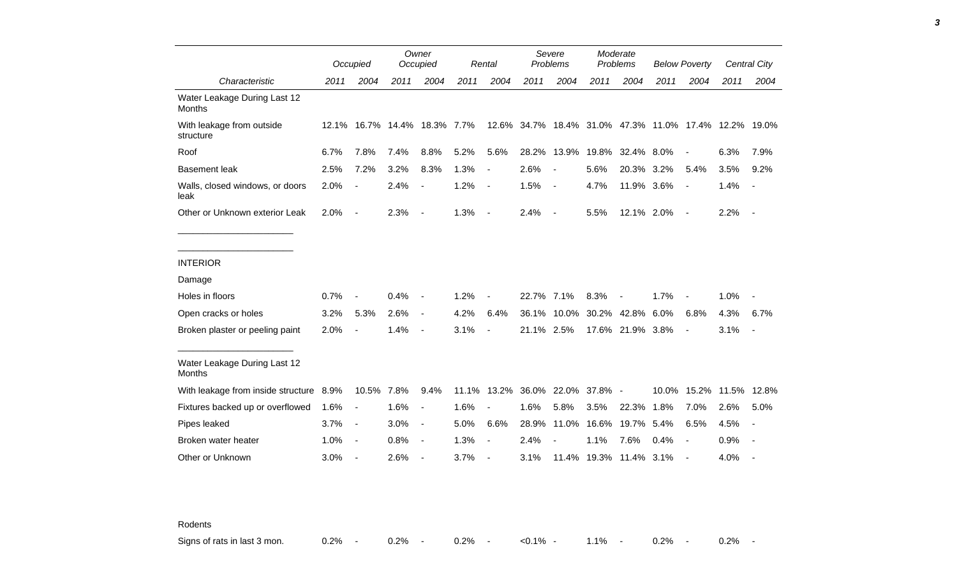|                                               |      | Occupied                 |      | Owner<br>Occupied            |       | Severe<br>Problems<br>Rental |            | Moderate<br>Problems                                  |                   | <b>Below Poverty</b>   |       |                          | <b>Central City</b> |                          |
|-----------------------------------------------|------|--------------------------|------|------------------------------|-------|------------------------------|------------|-------------------------------------------------------|-------------------|------------------------|-------|--------------------------|---------------------|--------------------------|
| Characteristic                                | 2011 | 2004                     | 2011 | 2004                         | 2011  | 2004                         | 2011       | 2004                                                  | 2011              | 2004                   | 2011  | 2004                     | 2011                | 2004                     |
| Water Leakage During Last 12<br><b>Months</b> |      |                          |      |                              |       |                              |            |                                                       |                   |                        |       |                          |                     |                          |
| With leakage from outside<br>structure        |      |                          |      | 12.1% 16.7% 14.4% 18.3% 7.7% |       |                              |            | 12.6% 34.7% 18.4% 31.0% 47.3% 11.0% 17.4% 12.2% 19.0% |                   |                        |       |                          |                     |                          |
| Roof                                          | 6.7% | 7.8%                     | 7.4% | 8.8%                         | 5.2%  | 5.6%                         | 28.2%      | 13.9%                                                 | 19.8%             | 32.4% 8.0%             |       |                          | 6.3%                | 7.9%                     |
| <b>Basement leak</b>                          | 2.5% | 7.2%                     | 3.2% | 8.3%                         | 1.3%  | $\overline{\phantom{a}}$     | 2.6%       |                                                       | 5.6%              | 20.3% 3.2%             |       | 5.4%                     | 3.5%                | 9.2%                     |
| Walls, closed windows, or doors<br>leak       | 2.0% | $\overline{\phantom{a}}$ | 2.4% | $\overline{\phantom{a}}$     | 1.2%  | $\blacksquare$               | 1.5%       | $\overline{a}$                                        | 4.7%              | 11.9% 3.6%             |       | $\blacksquare$           | 1.4%                | $\overline{a}$           |
| Other or Unknown exterior Leak                | 2.0% | $\blacksquare$           | 2.3% | $\blacksquare$               | 1.3%  | $\blacksquare$               | 2.4%       | $\blacksquare$                                        | 5.5%              | 12.1% 2.0%             |       | $\blacksquare$           | 2.2%                | $\overline{\phantom{a}}$ |
|                                               |      |                          |      |                              |       |                              |            |                                                       |                   |                        |       |                          |                     |                          |
| <b>INTERIOR</b>                               |      |                          |      |                              |       |                              |            |                                                       |                   |                        |       |                          |                     |                          |
| Damage                                        |      |                          |      |                              |       |                              |            |                                                       |                   |                        |       |                          |                     |                          |
| Holes in floors                               | 0.7% |                          | 0.4% | $\blacksquare$               | 1.2%  |                              | 22.7% 7.1% |                                                       | 8.3%              |                        | 1.7%  |                          | 1.0%                |                          |
| Open cracks or holes                          | 3.2% | 5.3%                     | 2.6% | $\blacksquare$               | 4.2%  | 6.4%                         | 36.1%      | 10.0%                                                 |                   | 30.2% 42.8% 6.0%       |       | 6.8%                     | 4.3%                | 6.7%                     |
| Broken plaster or peeling paint               | 2.0% |                          | 1.4% | $\overline{\phantom{a}}$     | 3.1%  | $\overline{\phantom{a}}$     | 21.1% 2.5% |                                                       |                   | 17.6% 21.9% 3.8%       |       | $\overline{\phantom{a}}$ | 3.1%                | $\overline{\phantom{a}}$ |
| Water Leakage During Last 12<br>Months        |      |                          |      |                              |       |                              |            |                                                       |                   |                        |       |                          |                     |                          |
| With leakage from inside structure 8.9%       |      | 10.5% 7.8%               |      | 9.4%                         | 11.1% |                              |            | 13.2% 36.0% 22.0% 37.8% -                             |                   |                        | 10.0% |                          | 15.2% 11.5% 12.8%   |                          |
| Fixtures backed up or overflowed              | 1.6% | $\blacksquare$           | 1.6% | $\blacksquare$               | 1.6%  |                              | 1.6%       | 5.8%                                                  | 3.5%              | 22.3%                  | 1.8%  | 7.0%                     | 2.6%                | 5.0%                     |
| Pipes leaked                                  | 3.7% | $\blacksquare$           | 3.0% | $\blacksquare$               | 5.0%  | 6.6%                         | 28.9%      |                                                       | 11.0% 16.6% 19.7% |                        | 5.4%  | 6.5%                     | 4.5%                | $\overline{a}$           |
| Broken water heater                           | 1.0% | $\blacksquare$           | 0.8% | $\overline{\phantom{a}}$     | 1.3%  | $\overline{\phantom{a}}$     | 2.4%       |                                                       | 1.1%              | 7.6%                   | 0.4%  |                          | 0.9%                |                          |
| Other or Unknown                              | 3.0% | $\overline{\phantom{a}}$ | 2.6% | $\overline{\phantom{a}}$     | 3.7%  | $\blacksquare$               | 3.1%       |                                                       |                   | 11.4% 19.3% 11.4% 3.1% |       |                          | 4.0%                |                          |

Rodents

Signs of rats in last 3 mon.  $0.2\%$  - 0.2% - 0.2% - <0.1% - 1.1% - 0.2% - 0.2% -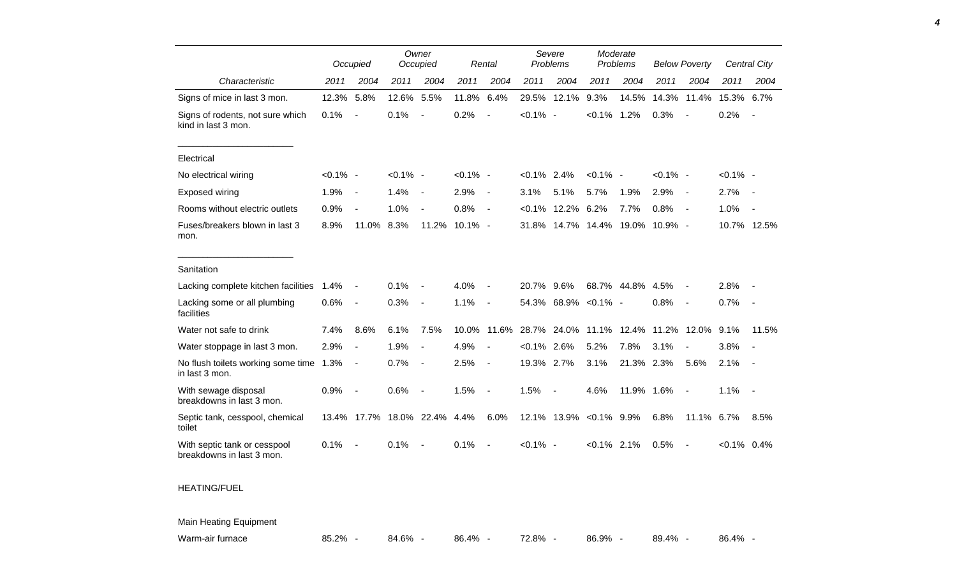|                                                           |             | Occupied                 |             | Owner<br>Occupied        |             | Rental                   |                | Severe<br>Problems       |                   | Moderate<br>Problems |             | <b>Below Poverty</b>     |                | Central City |
|-----------------------------------------------------------|-------------|--------------------------|-------------|--------------------------|-------------|--------------------------|----------------|--------------------------|-------------------|----------------------|-------------|--------------------------|----------------|--------------|
| Characteristic                                            | 2011        | 2004                     | 2011        | 2004                     | 2011        | 2004                     | 2011           | 2004                     | 2011              | 2004                 | 2011        | 2004                     | 2011           | 2004         |
| Signs of mice in last 3 mon.                              | 12.3%       | 5.8%                     | 12.6%       | 5.5%                     | 11.8%       | 6.4%                     | 29.5%          | 12.1%                    | 9.3%              | 14.5%                | 14.3%       | 11.4%                    | 15.3% 6.7%     |              |
| Signs of rodents, not sure which<br>kind in last 3 mon.   | 0.1%        | $\blacksquare$           | 0.1%        | $\overline{\phantom{a}}$ | 0.2%        |                          | $< 0.1\%$ -    |                          | $< 0.1\%$ 1.2%    |                      | 0.3%        |                          | 0.2%           |              |
| Electrical                                                |             |                          |             |                          |             |                          |                |                          |                   |                      |             |                          |                |              |
| No electrical wiring                                      | $< 0.1\%$ - |                          | $< 0.1\%$ - |                          | $< 0.1\%$ - |                          | $< 0.1\%$ 2.4% |                          | $< 0.1\%$ -       |                      | $< 0.1\%$ - |                          | $< 0.1\%$ -    |              |
| Exposed wiring                                            | 1.9%        | $\blacksquare$           | 1.4%        | $\blacksquare$           | 2.9%        | $\overline{\phantom{a}}$ | 3.1%           | 5.1%                     | 5.7%              | 1.9%                 | 2.9%        | $\overline{\phantom{a}}$ | 2.7%           |              |
| Rooms without electric outlets                            | 0.9%        |                          | 1.0%        | $\overline{\phantom{a}}$ | 0.8%        | $\blacksquare$           | $< 0.1\%$      | 12.2%                    | 6.2%              | 7.7%                 | 0.8%        | $\sim$                   | 1.0%           |              |
| Fuses/breakers blown in last 3<br>mon.                    | 8.9%        | 11.0%                    | 8.3%        | 11.2%                    | $10.1\% -$  |                          | 31.8%          |                          | 14.7% 14.4% 19.0% |                      | 10.9% -     |                          |                | 10.7% 12.5%  |
| Sanitation                                                |             |                          |             |                          |             |                          |                |                          |                   |                      |             |                          |                |              |
| Lacking complete kitchen facilities                       | 1.4%        | $\blacksquare$           | 0.1%        | $\overline{\phantom{a}}$ | 4.0%        | $\overline{\phantom{a}}$ | 20.7% 9.6%     |                          |                   | 68.7% 44.8%          | 4.5%        | $\overline{\phantom{a}}$ | 2.8%           |              |
| Lacking some or all plumbing<br>facilities                | 0.6%        | $\overline{\phantom{a}}$ | 0.3%        | $\blacksquare$           | 1.1%        | $\blacksquare$           |                | 54.3% 68.9% < 0.1% -     |                   |                      | 0.8%        | $\overline{\phantom{a}}$ | 0.7%           | $\sim$       |
| Water not safe to drink                                   | 7.4%        | 8.6%                     | 6.1%        | 7.5%                     | 10.0%       | 11.6%                    | 28.7%          | 24.0%                    | 11.1%             | 12.4%                | 11.2%       | 12.0%                    | 9.1%           | 11.5%        |
| Water stoppage in last 3 mon.                             | 2.9%        | $\blacksquare$           | 1.9%        | $\overline{\phantom{a}}$ | 4.9%        | $\overline{\phantom{a}}$ | $< 0.1\%$      | 2.6%                     | 5.2%              | 7.8%                 | 3.1%        | $\blacksquare$           | 3.8%           |              |
| No flush toilets working some time 1.3%<br>in last 3 mon. |             | $\overline{a}$           | 0.7%        | $\overline{\phantom{a}}$ | 2.5%        | $\overline{\phantom{a}}$ | 19.3% 2.7%     |                          | 3.1%              | 21.3% 2.3%           |             | 5.6%                     | 2.1%           | $\sim$       |
| With sewage disposal<br>breakdowns in last 3 mon.         | 0.9%        | $\overline{\phantom{a}}$ | 0.6%        | $\blacksquare$           | 1.5%        | $\blacksquare$           | 1.5%           | $\overline{\phantom{a}}$ | 4.6%              | 11.9% 1.6%           |             | $\overline{\phantom{a}}$ | 1.1%           | $\sim$       |
| Septic tank, cesspool, chemical<br>toilet                 |             | 13.4% 17.7%              | 18.0% 22.4% |                          | 4.4%        | 6.0%                     |                | 12.1% 13.9% < 0.1% 9.9%  |                   |                      | 6.8%        | 11.1% 6.7%               |                | 8.5%         |
| With septic tank or cesspool<br>breakdowns in last 3 mon. | 0.1%        | $\blacksquare$           | 0.1%        | $\overline{\phantom{a}}$ | 0.1%        | $\overline{\phantom{a}}$ | $< 0.1\%$ -    |                          | $< 0.1\%$ 2.1%    |                      | 0.5%        | $\blacksquare$           | $< 0.1\%$ 0.4% |              |
| <b>HEATING/FUEL</b>                                       |             |                          |             |                          |             |                          |                |                          |                   |                      |             |                          |                |              |
| Main Heating Equipment                                    |             |                          |             |                          |             |                          |                |                          |                   |                      |             |                          |                |              |

*4*

Warm-air furnace a a state 85.2% - 84.6% - 86.4% - 72.8% - 86.9% - 89.4% - 86.4% -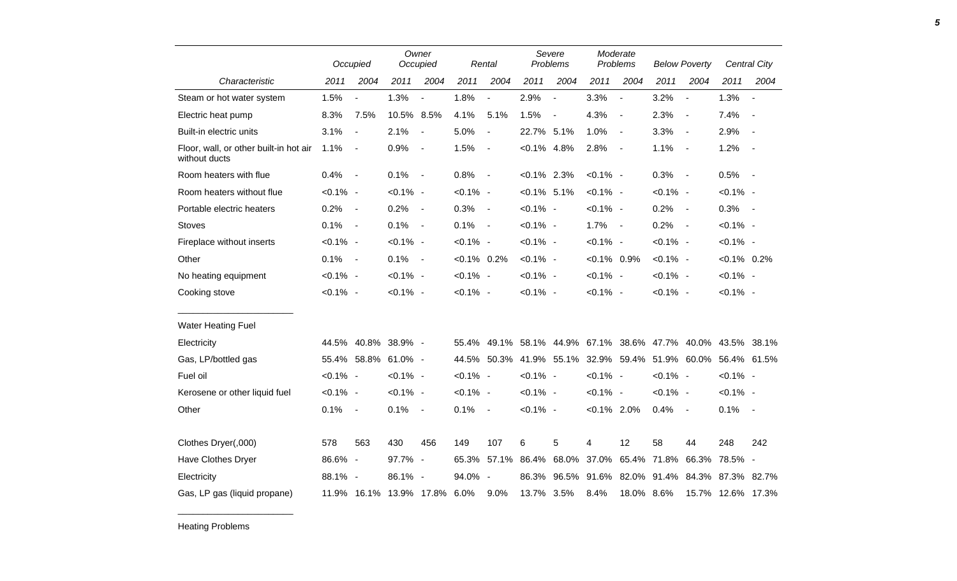|                                                         |             | Occupied                 |                         | Owner<br>Occupied        |                | Rental                   | Severe<br>Problems |                         | Moderate<br>Problems |                          | <b>Below Poverty</b>    |                          | Central City                  |                          |
|---------------------------------------------------------|-------------|--------------------------|-------------------------|--------------------------|----------------|--------------------------|--------------------|-------------------------|----------------------|--------------------------|-------------------------|--------------------------|-------------------------------|--------------------------|
| Characteristic                                          | 2011        | 2004                     | 2011                    | 2004                     | 2011           | 2004                     | 2011               | 2004                    | 2011                 | 2004                     | 2011                    | 2004                     | 2011                          | 2004                     |
| Steam or hot water system                               | 1.5%        | $\blacksquare$           | 1.3%                    | $\blacksquare$           | 1.8%           | $\blacksquare$           | 2.9%               | $\blacksquare$          | 3.3%                 | $\blacksquare$           | 3.2%                    | $\overline{a}$           | 1.3%                          | $\blacksquare$           |
| Electric heat pump                                      | 8.3%        | 7.5%                     | 10.5% 8.5%              |                          | 4.1%           | 5.1%                     | 1.5%               | $\sim$                  | 4.3%                 | $\overline{\phantom{a}}$ | 2.3%                    | $\overline{\phantom{a}}$ | 7.4%                          | $\overline{\phantom{a}}$ |
| Built-in electric units                                 | 3.1%        | $\overline{\phantom{a}}$ | 2.1%                    | $\blacksquare$           | 5.0%           | $\overline{\phantom{a}}$ | 22.7% 5.1%         |                         | 1.0%                 | $\overline{\phantom{a}}$ | 3.3%                    | $\blacksquare$           | 2.9%                          | $\overline{\phantom{a}}$ |
| Floor, wall, or other built-in hot air<br>without ducts | 1.1%        | $\overline{\phantom{a}}$ | 0.9%                    | $\overline{\phantom{a}}$ | 1.5%           | $\blacksquare$           | $< 0.1\%$ 4.8%     |                         | 2.8%                 | $\sim$                   | 1.1%                    | $\sim$                   | 1.2%                          | $\overline{\phantom{a}}$ |
| Room heaters with flue                                  | 0.4%        | $\overline{\phantom{a}}$ | 0.1%                    | $\sim$                   | 0.8%           | $\sim$                   | $< 0.1\%$ 2.3%     |                         | $< 0.1\%$ -          |                          | 0.3%                    | $\sim$                   | 0.5%                          | $\overline{\phantom{a}}$ |
| Room heaters without flue                               | $< 0.1\%$ - |                          | $< 0.1\%$ -             |                          | $< 0.1\%$ -    |                          | $< 0.1\%$ 5.1%     |                         | $< 0.1\%$ -          |                          | $< 0.1\%$ -             |                          | $< 0.1\%$ -                   |                          |
| Portable electric heaters                               | 0.2%        | $\blacksquare$           | 0.2%                    | $\sim$                   | 0.3%           | $\sim$                   | $< 0.1\%$ -        |                         | $< 0.1\%$ -          |                          | 0.2%                    | $\sim$                   | 0.3%                          | $\sim$ $-$               |
| <b>Stoves</b>                                           | 0.1%        | $\overline{\phantom{a}}$ | 0.1%                    | $\sim$                   | 0.1%           | $\sim$                   | $< 0.1\%$ -        |                         | 1.7%                 | $\sim$ $-$               | 0.2%                    | $\sim$ $-$               | $< 0.1\%$ -                   |                          |
| Fireplace without inserts                               | $< 0.1\%$ - |                          | $< 0.1\%$ -             |                          | $< 0.1\%$ -    |                          | $< 0.1\%$ -        |                         | $< 0.1\%$ -          |                          | $< 0.1\%$ -             |                          | $< 0.1\%$ -                   |                          |
| Other                                                   | 0.1%        | $\overline{\phantom{a}}$ | 0.1%                    | $\sim$                   | $< 0.1\%$ 0.2% |                          | $< 0.1\%$ -        |                         | $< 0.1\%$ 0.9%       |                          | $< 0.1\%$ -             |                          | $< 0.1\%$ 0.2%                |                          |
| No heating equipment                                    | $< 0.1\%$ - |                          | $< 0.1\%$ -             |                          | $< 0.1\%$ -    |                          | $< 0.1\%$ -        |                         | $< 0.1\%$ -          |                          | $< 0.1\%$ -             |                          | $< 0.1\%$ -                   |                          |
| Cooking stove                                           | $< 0.1\%$ - |                          | $< 0.1\%$ -             |                          | $< 0.1\%$ -    |                          | $< 0.1\%$ -        |                         | $< 0.1\%$ -          |                          | $< 0.1\%$ -             |                          | $< 0.1\%$ -                   |                          |
| <b>Water Heating Fuel</b>                               |             |                          |                         |                          |                |                          |                    |                         |                      |                          |                         |                          |                               |                          |
| Electricity                                             |             |                          | 44.5% 40.8% 38.9% -     |                          | 55.4%          | 49.1%                    |                    | 58.1% 44.9%             |                      |                          | 67.1% 38.6% 47.7% 40.0% |                          |                               | 43.5% 38.1%              |
| Gas, LP/bottled gas                                     |             |                          | 55.4% 58.8% 61.0% -     |                          |                |                          |                    | 44.5% 50.3% 41.9% 55.1% |                      |                          | 32.9% 59.4% 51.9% 60.0% |                          | 56.4% 61.5%                   |                          |
| Fuel oil                                                | $< 0.1\%$ - |                          | $< 0.1\%$ -             |                          | $< 0.1\%$ -    |                          | $< 0.1\%$ -        |                         | $< 0.1\%$ -          |                          | $< 0.1\%$ -             |                          | $< 0.1\%$ -                   |                          |
| Kerosene or other liquid fuel                           | $< 0.1\%$ - |                          | $< 0.1\%$ -             |                          | $< 0.1\%$ -    |                          | $< 0.1\%$ -        |                         | $< 0.1\%$ -          |                          | $< 0.1\%$ -             |                          | $< 0.1\%$ -                   |                          |
| Other                                                   | 0.1%        | $\overline{\phantom{a}}$ | 0.1%                    | $\sim$                   | 0.1%           | $\sim$                   | $< 0.1\%$ -        |                         | $< 0.1\%$ 2.0%       |                          | 0.4%                    | $\sim$                   | 0.1%                          | $\sim$                   |
|                                                         |             |                          |                         |                          |                |                          |                    |                         |                      |                          |                         |                          |                               |                          |
| Clothes Dryer(,000)                                     | 578         | 563                      | 430                     | 456                      | 149            | 107                      | 6                  | 5                       | 4                    | 12                       | 58                      | 44                       | 248                           | 242                      |
| Have Clothes Dryer                                      | 86.6% -     |                          | 97.7%                   | $\sim$                   | 65.3%          | 57.1%                    | 86.4%              | 68.0%                   | 37.0%                | 65.4%                    | 71.8%                   | 66.3%                    | 78.5%                         | $\overline{\phantom{a}}$ |
| Electricity                                             | 88.1% -     |                          | 86.1% -                 |                          | 94.0% -        |                          | 86.3%              | 96.5%                   | 91.6%                |                          |                         |                          | 82.0% 91.4% 84.3% 87.3% 82.7% |                          |
| Gas, LP gas (liquid propane)                            |             |                          | 11.9% 16.1% 13.9% 17.8% |                          | 6.0%           | 9.0%                     | 13.7% 3.5%         |                         | 8.4%                 | 18.0% 8.6%               |                         |                          | 15.7% 12.6% 17.3%             |                          |

Heating Problems

\_\_\_\_\_\_\_\_\_\_\_\_\_\_\_\_\_\_\_\_\_\_\_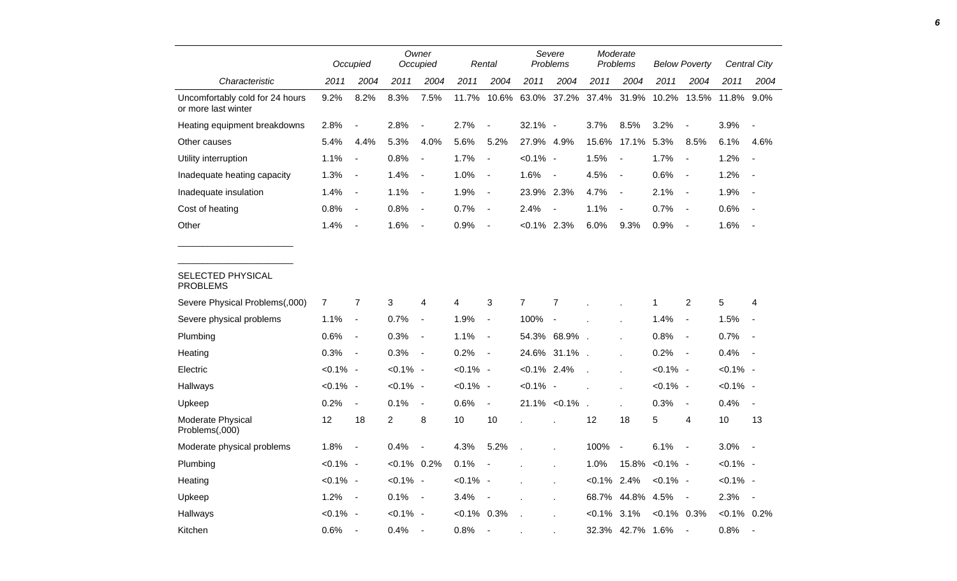|                                                        |                | Occupied                     |                | Owner<br>Occupied        |                | Rental                   |                | Severe<br>Problems |                | Moderate<br>Problems     |                | <b>Below Poverty</b>     |               | Central City             |
|--------------------------------------------------------|----------------|------------------------------|----------------|--------------------------|----------------|--------------------------|----------------|--------------------|----------------|--------------------------|----------------|--------------------------|---------------|--------------------------|
| Characteristic                                         | 2011           | 2004                         | 2011           | 2004                     | 2011           | 2004                     | 2011           | 2004               | 2011           | 2004                     | 2011           | 2004                     | 2011          | 2004                     |
| Uncomfortably cold for 24 hours<br>or more last winter | 9.2%           | 8.2%                         | 8.3%           | 7.5%                     | 11.7%          | 10.6%                    | 63.0%          | 37.2%              | 37.4%          | 31.9%                    | 10.2%          | 13.5%                    | 11.8%         | 9.0%                     |
| Heating equipment breakdowns                           | 2.8%           | $\overline{\phantom{a}}$     | 2.8%           | $\blacksquare$           | 2.7%           | $\overline{\phantom{a}}$ | 32.1% -        |                    | 3.7%           | 8.5%                     | 3.2%           | $\overline{\phantom{a}}$ | 3.9%          | $\overline{\phantom{a}}$ |
| Other causes                                           | 5.4%           | 4.4%                         | 5.3%           | 4.0%                     | 5.6%           | 5.2%                     | 27.9% 4.9%     |                    | 15.6%          | 17.1%                    | 5.3%           | 8.5%                     | 6.1%          | 4.6%                     |
| Utility interruption                                   | 1.1%           | $\overline{\phantom{a}}$     | 0.8%           | $\blacksquare$           | 1.7%           | $\blacksquare$           | $< 0.1\%$ -    |                    | 1.5%           | $\overline{\phantom{a}}$ | 1.7%           | $\overline{\phantom{a}}$ | 1.2%          | $\overline{\phantom{a}}$ |
| Inadequate heating capacity                            | 1.3%           | $\qquad \qquad \blacksquare$ | 1.4%           | $\overline{\phantom{a}}$ | 1.0%           | $\overline{\phantom{a}}$ | 1.6%           | $\blacksquare$     | 4.5%           | $\overline{\phantom{a}}$ | 0.6%           | $\overline{\phantom{a}}$ | 1.2%          |                          |
| Inadequate insulation                                  | 1.4%           | $\blacksquare$               | 1.1%           | $\overline{\phantom{a}}$ | 1.9%           | $\blacksquare$           | 23.9%          | 2.3%               | 4.7%           | $\overline{\phantom{a}}$ | 2.1%           | $\sim$                   | 1.9%          | $\blacksquare$           |
| Cost of heating                                        | 0.8%           | $\blacksquare$               | 0.8%           | $\blacksquare$           | 0.7%           | $\blacksquare$           | 2.4%           |                    | 1.1%           | $\overline{\phantom{a}}$ | 0.7%           | $\blacksquare$           | 0.6%          |                          |
| Other                                                  | 1.4%           | $\blacksquare$               | 1.6%           | $\overline{\phantom{a}}$ | 0.9%           | $\blacksquare$           | $< 0.1\%$      | 2.3%               | 6.0%           | 9.3%                     | 0.9%           | $\overline{\phantom{a}}$ | 1.6%          |                          |
| SELECTED PHYSICAL<br><b>PROBLEMS</b>                   |                |                              |                |                          |                |                          |                |                    |                |                          |                |                          |               |                          |
| Severe Physical Problems(,000)                         | $\overline{7}$ | $\boldsymbol{7}$             | 3              | 4                        | 4              | 3                        | $\overline{7}$ | 7                  |                |                          | $\mathbf{1}$   | $\overline{c}$           | 5             | 4                        |
| Severe physical problems                               | 1.1%           | $\blacksquare$               | 0.7%           | $\overline{\phantom{a}}$ | 1.9%           | $\blacksquare$           | 100%           |                    |                |                          | 1.4%           | $\overline{\phantom{a}}$ | 1.5%          |                          |
| Plumbing                                               | 0.6%           | $\overline{\phantom{a}}$     | 0.3%           | $\blacksquare$           | 1.1%           | $\blacksquare$           | 54.3%          | 68.9%              | $\sim$         |                          | 0.8%           | $\overline{\phantom{a}}$ | 0.7%          |                          |
| Heating                                                | 0.3%           | $\overline{\phantom{a}}$     | 0.3%           | $\blacksquare$           | 0.2%           | $\blacksquare$           |                | 24.6% 31.1%.       |                |                          | 0.2%           | $\overline{\phantom{a}}$ | 0.4%          | $\overline{\phantom{a}}$ |
| Electric                                               | $< 0.1\%$ -    |                              | $< 0.1\%$ -    |                          | $< 0.1\%$ -    |                          | $< 0.1\%$      | 2.4%               |                |                          | $< 0.1\%$ -    |                          | $< 0.1\%$ -   |                          |
| Hallways                                               | $< 0.1\%$ -    |                              | $< 0.1\%$ -    |                          | $< 0.1\%$ -    |                          | $< 0.1\%$ -    |                    |                |                          | $< 0.1\%$ -    |                          | $< 0.1\%$ -   |                          |
| Upkeep                                                 | 0.2%           | $\blacksquare$               | 0.1%           | $\blacksquare$           | 0.6%           | $\blacksquare$           |                | $21.1\% < 0.1\%$   | $\overline{a}$ | $\mathbf{r}$             | 0.3%           | $\overline{\phantom{a}}$ | 0.4%          | $\overline{\phantom{a}}$ |
| Moderate Physical<br>Problems(,000)                    | 12             | 18                           | $\overline{c}$ | 8                        | 10             | 10                       |                |                    | 12             | 18                       | 5              | 4                        | 10            | 13                       |
| Moderate physical problems                             | 1.8%           | $\blacksquare$               | 0.4%           |                          | 4.3%           | 5.2%                     |                | ÷.                 | 100%           | $\overline{\phantom{a}}$ | 6.1%           | $\blacksquare$           | 3.0%          | $\overline{\phantom{a}}$ |
| Plumbing                                               | $< 0.1\%$ -    |                              | $< 0.1\%$ 0.2% |                          | 0.1%           | $\overline{\phantom{a}}$ |                | ÷.                 | 1.0%           | 15.8%                    | $< 0.1\%$ -    |                          | $< 0.1\%$ -   |                          |
| Heating                                                | $< 0.1\%$ -    |                              | $< 0.1\%$ -    |                          | $< 0.1\%$ -    |                          |                | ×                  | $< 0.1\%$ 2.4% |                          | $< 0.1\%$ -    |                          | $< 0.1\%$ -   |                          |
| Upkeep                                                 | 1.2%           | $\blacksquare$               | 0.1%           | $\overline{\phantom{a}}$ | 3.4%           | $\overline{\phantom{a}}$ |                |                    | 68.7%          | 44.8%                    | 4.5%           | $\blacksquare$           | 2.3%          | $\blacksquare$           |
| Hallways                                               | $< 0.1\%$ -    |                              | $< 0.1\%$ -    |                          | $< 0.1\%$ 0.3% |                          |                |                    | $< 0.1\%$      | 3.1%                     | $< 0.1\%$ 0.3% |                          | $<0.1\%$ 0.2% |                          |
| Kitchen                                                | 0.6%           | $\overline{\phantom{a}}$     | 0.4%           |                          | 0.8%           | $\blacksquare$           |                |                    |                | 32.3% 42.7% 1.6%         |                | $\overline{\phantom{a}}$ | 0.8%          |                          |